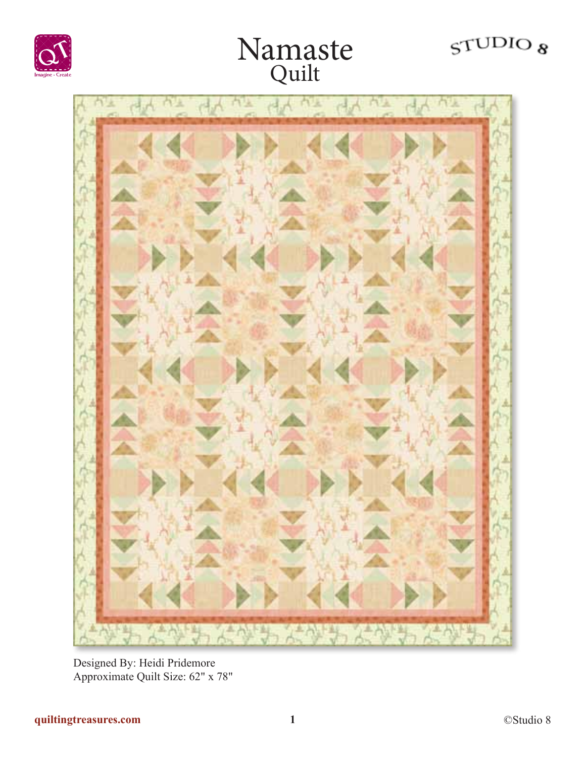# $STUDIO$





Designed By: Heidi Pridemore Approximate Quilt Size: 62" x 78"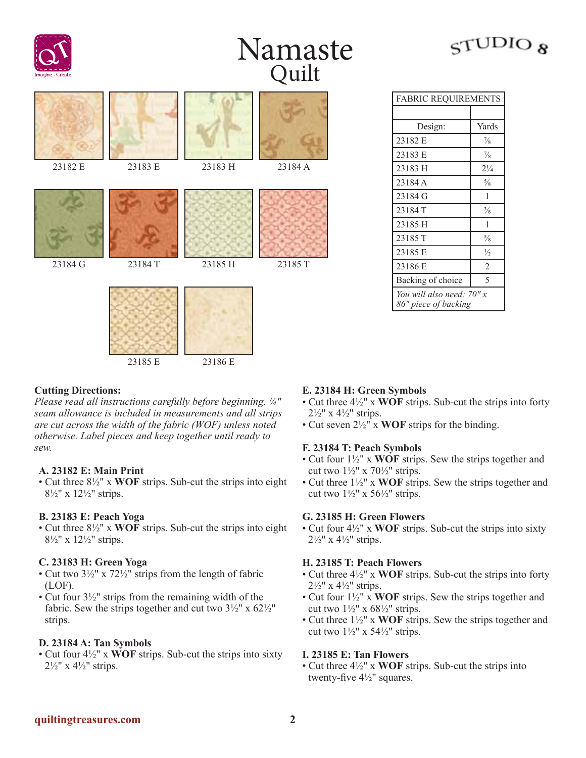



| Namaste |
|---------|
| Quilt   |

| 23183 E | 23183 H | 23184 A |
|---------|---------|---------|
|         |         |         |
| 23185 E | 23186 E | 23185 T |
|         | 23184T  | 23185 H |

| <b>FABRIC REQUIREMENTS</b>                        |                |  |
|---------------------------------------------------|----------------|--|
|                                                   |                |  |
| Design:                                           | Yards          |  |
| 23182 E                                           | $\frac{7}{8}$  |  |
| 23183 E                                           | $\frac{7}{8}$  |  |
| 23183 H                                           | $2\frac{1}{4}$ |  |
| 23184 A                                           | $\frac{5}{8}$  |  |
| 23184 G                                           | 1              |  |
| 23184 T                                           | $\frac{3}{8}$  |  |
| 23185 H                                           | 1              |  |
| 23185 T                                           | $\frac{5}{8}$  |  |
| 23185 E                                           | $\frac{1}{2}$  |  |
| 23186 E                                           | $\overline{2}$ |  |
| Backing of choice                                 | 5              |  |
| You will also need: 70" x<br>86" piece of backing |                |  |

# **Cutting Directions:**

*Please read all instructions carefully before beginning. ¼" seam allowance is included in measurements and all strips are cut across the width of the fabric (WOF) unless noted otherwise. Label pieces and keep together until ready to sew.*

### **A. 23182 E: Main Print**

• Cut three 8½" x **WOF** strips. Sub-cut the strips into eight 8½" x 12½" strips.

### **B. 23183 E: Peach Yoga**

• Cut three 8½" x **WOF** strips. Sub-cut the strips into eight 8½" x 12½" strips.

### **C. 23183 H: Green Yoga**

- Cut two  $3\frac{1}{2}$ " x  $72\frac{1}{2}$ " strips from the length of fabric (LOF).
- Cut four 3½" strips from the remaining width of the fabric. Sew the strips together and cut two  $3\frac{1}{2}$ " x  $62\frac{1}{2}$ " strips.

# **D. 23184 A: Tan Symbols**

• Cut four 4½" x **WOF** strips. Sub-cut the strips into sixty  $2\frac{1}{2}$ " x  $4\frac{1}{2}$ " strips.

# **E. 23184 H: Green Symbols**

- Cut three 4½" x **WOF** strips. Sub-cut the strips into forty  $2\frac{1}{2}$ " x 4 $\frac{1}{2}$ " strips.
- Cut seven 2½" x **WOF** strips for the binding.

### **F. 23184 T: Peach Symbols**

- Cut four 1½" x **WOF** strips. Sew the strips together and cut two  $1\frac{1}{2}$ " x  $70\frac{1}{2}$ " strips.
- Cut three 1½" x **WOF** strips. Sew the strips together and cut two  $1\frac{1}{2}$ " x 56 $\frac{1}{2}$ " strips.

### **G. 23185 H: Green Flowers**

• Cut four 4½" x **WOF** strips. Sub-cut the strips into sixty  $2\frac{1}{2}$ " x 4 $\frac{1}{2}$ " strips.

### **H. 23185 T: Peach Flowers**

- Cut three 4½" x **WOF** strips. Sub-cut the strips into forty 2½" x 4½" strips.
- Cut four 1½" x **WOF** strips. Sew the strips together and cut two  $1\frac{1}{2}$ " x 68 $\frac{1}{2}$ " strips.
- Cut three 1½" x **WOF** strips. Sew the strips together and cut two  $1\frac{1}{2}$ " x  $54\frac{1}{2}$ " strips.

# **I. 23185 E: Tan Flowers**

• Cut three 4½" x **WOF** strips. Sub-cut the strips into twenty-five 4½" squares.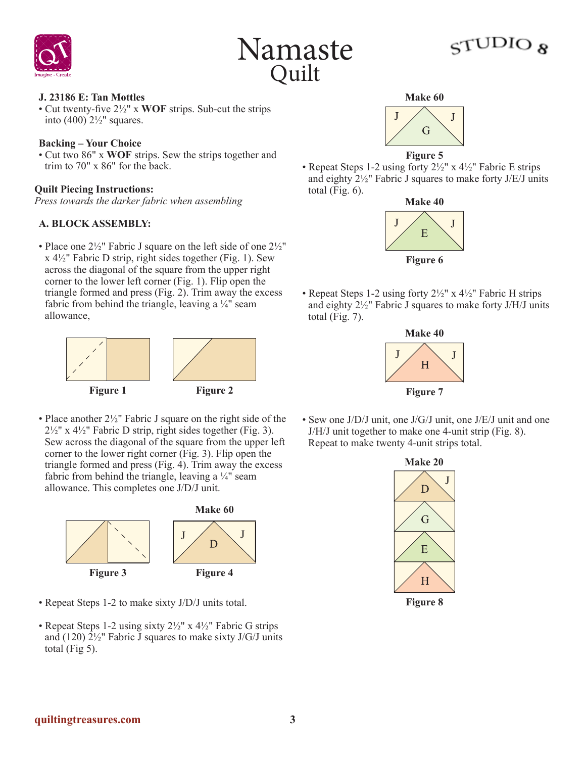



# $_{\rm G}$ ر OIOU $_{\rm 7}$

#### **J. 23186 E: Tan Mottles**

• Cut twenty-five 2½" x **WOF** strips. Sub-cut the strips into (400)  $2\frac{1}{2}$ " squares.

#### **Backing – Your Choice**

• Cut two 86" x **WOF** strips. Sew the strips together and trim to 70" x 86" for the back.

#### **Quilt Piecing Instructions:**

*Press towards the darker fabric when assembling*

### **A. BLOCK ASSEMBLY:**

• Place one  $2\frac{1}{2}$ " Fabric J square on the left side of one  $2\frac{1}{2}$ "  $x 4\frac{1}{2}$ " Fabric D strip, right sides together (Fig. 1). Sew across the diagonal of the square from the upper right corner to the lower left corner (Fig. 1). Flip open the triangle formed and press (Fig. 2). Trim away the excess fabric from behind the triangle, leaving a  $\frac{1}{4}$ " seam allowance,



• Place another  $2\frac{1}{2}$ " Fabric J square on the right side of the  $2\frac{1}{2}$ " x 4 $\frac{1}{2}$ " Fabric D strip, right sides together (Fig. 3). Sew across the diagonal of the square from the upper left corner to the lower right corner (Fig. 3). Flip open the triangle formed and press (Fig. 4). Trim away the excess fabric from behind the triangle, leaving a  $\frac{1}{4}$  seam allowance. This completes one J/D/J unit.



- Repeat Steps 1-2 to make sixty J/D/J units total.
- Repeat Steps 1-2 using sixty  $2\frac{1}{2}$ " x  $4\frac{1}{2}$ " Fabric G strips and (120)  $2\frac{1}{2}$ " Fabric J squares to make sixty J/G/J units total  $(Fig 5)$ .



**Figure 5**

• Repeat Steps 1-2 using forty  $2\frac{1}{2}$ " x  $4\frac{1}{2}$ " Fabric E strips and eighty 2½" Fabric J squares to make forty J/E/J units total (Fig.  $6$ ).



• Repeat Steps 1-2 using forty  $2\frac{1}{2}$ " x  $4\frac{1}{2}$ " Fabric H strips and eighty 2½" Fabric J squares to make forty J/H/J units total (Fig.  $7$ ).



• Sew one J/D/J unit, one J/G/J unit, one J/E/J unit and one J/H/J unit together to make one 4-unit strip (Fig. 8). Repeat to make twenty 4-unit strips total.



**Figure 8**